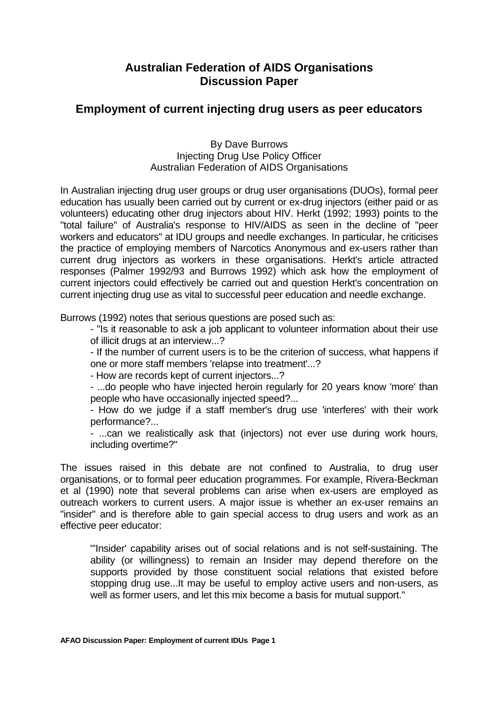## **Australian Federation of AIDS Organisations Discussion Paper**

## **Employment of current injecting drug users as peer educators**

By Dave Burrows Injecting Drug Use Policy Officer Australian Federation of AIDS Organisations

In Australian injecting drug user groups or drug user organisations (DUOs), formal peer education has usually been carried out by current or ex-drug injectors (either paid or as volunteers) educating other drug injectors about HIV. Herkt (1992; 1993) points to the "total failure" of Australia's response to HIV/AIDS as seen in the decline of "peer workers and educators" at IDU groups and needle exchanges. In particular, he criticises the practice of employing members of Narcotics Anonymous and ex-users rather than current drug injectors as workers in these organisations. Herkt's article attracted responses (Palmer 1992/93 and Burrows 1992) which ask how the employment of current injectors could effectively be carried out and question Herkt's concentration on current injecting drug use as vital to successful peer education and needle exchange.

Burrows (1992) notes that serious questions are posed such as:

 - "Is it reasonable to ask a job applicant to volunteer information about their use of illicit drugs at an interview...?

 - If the number of current users is to be the criterion of success, what happens if one or more staff members 'relapse into treatment'...?

- How are records kept of current injectors...?

 - ...do people who have injected heroin regularly for 20 years know 'more' than people who have occasionally injected speed?...

 - How do we judge if a staff member's drug use 'interferes' with their work performance?...

 - ...can we realistically ask that (injectors) not ever use during work hours, including overtime?"

The issues raised in this debate are not confined to Australia, to drug user organisations, or to formal peer education programmes. For example, Rivera-Beckman et al (1990) note that several problems can arise when ex-users are employed as outreach workers to current users. A major issue is whether an ex-user remains an "insider" and is therefore able to gain special access to drug users and work as an effective peer educator:

 "'Insider' capability arises out of social relations and is not self-sustaining. The ability (or willingness) to remain an Insider may depend therefore on the supports provided by those constituent social relations that existed before stopping drug use...It may be useful to employ active users and non-users, as well as former users, and let this mix become a basis for mutual support."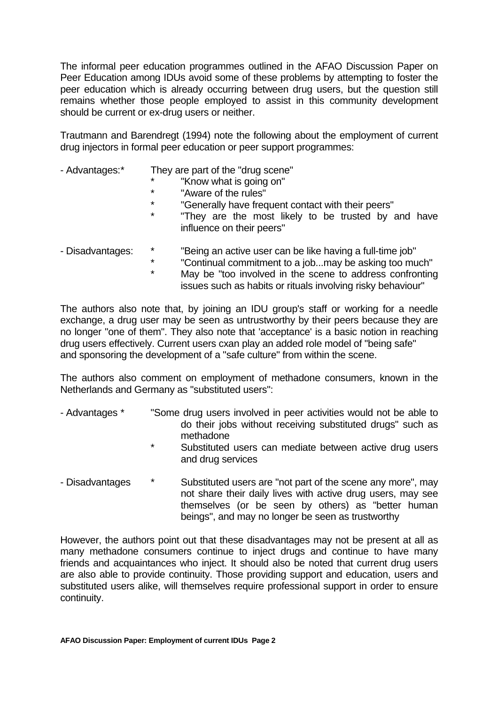The informal peer education programmes outlined in the AFAO Discussion Paper on Peer Education among IDUs avoid some of these problems by attempting to foster the peer education which is already occurring between drug users, but the question still remains whether those people employed to assist in this community development should be current or ex-drug users or neither.

Trautmann and Barendregt (1994) note the following about the employment of current drug injectors in formal peer education or peer support programmes:

- Advantages: They are part of the "drug scene"
	- "Know what is going on"
	- \* "Aware of the rules"
	- \* "Generally have frequent contact with their peers"<br>\* \* "Thoy are the meet likely to be trusted by a
	- "They are the most likely to be trusted by and have influence on their peers"
- Disadvantages: \* "Being an active user can be like having a full-time job"
	- \* "Continual commitment to a job...may be asking too much"
		- May be "too involved in the scene to address confronting issues such as habits or rituals involving risky behaviour"

The authors also note that, by joining an IDU group's staff or working for a needle exchange, a drug user may be seen as untrustworthy by their peers because they are no longer "one of them". They also note that 'acceptance' is a basic notion in reaching drug users effectively. Current users cxan play an added role model of "being safe" and sponsoring the development of a "safe culture" from within the scene.

The authors also comment on employment of methadone consumers, known in the Netherlands and Germany as "substituted users":

- Advantages \* "Some drug users involved in peer activities would not be able to do their jobs without receiving substituted drugs" such as methadone
	- Substituted users can mediate between active drug users and drug services
- Disadvantages  $\overline{\phantom{a}}^*$  Substituted users are "not part of the scene any more", may not share their daily lives with active drug users, may see themselves (or be seen by others) as "better human beings", and may no longer be seen as trustworthy

However, the authors point out that these disadvantages may not be present at all as many methadone consumers continue to inject drugs and continue to have many friends and acquaintances who inject. It should also be noted that current drug users are also able to provide continuity. Those providing support and education, users and substituted users alike, will themselves require professional support in order to ensure continuity.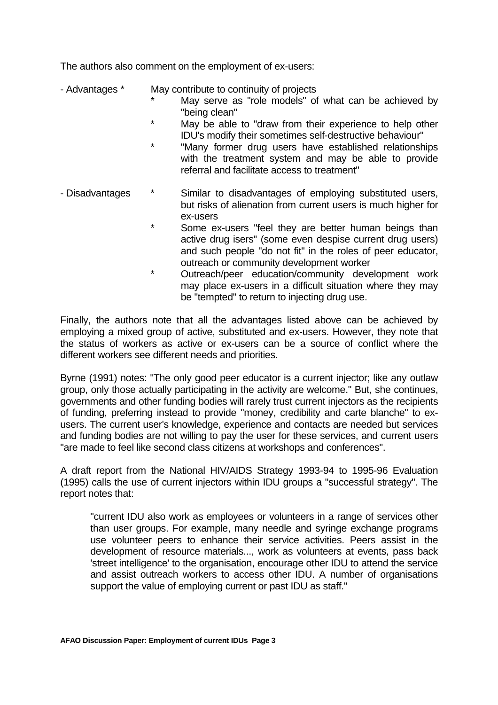The authors also comment on the employment of ex-users:

- Advantages \* May contribute to continuity of projects
	- May serve as "role models" of what can be achieved by "being clean"
	- May be able to "draw from their experience to help other IDU's modify their sometimes self-destructive behaviour"
	- "Many former drug users have established relationships with the treatment system and may be able to provide referral and facilitate access to treatment"
- Disadvantages  $*$  Similar to disadvantages of employing substituted users, but risks of alienation from current users is much higher for ex-users
	- \* Some ex-users "feel they are better human beings than active drug isers" (some even despise current drug users) and such people "do not fit" in the roles of peer educator, outreach or community development worker
	- \* Outreach/peer education/community development work may place ex-users in a difficult situation where they may be "tempted" to return to injecting drug use.

Finally, the authors note that all the advantages listed above can be achieved by employing a mixed group of active, substituted and ex-users. However, they note that the status of workers as active or ex-users can be a source of conflict where the different workers see different needs and priorities.

Byrne (1991) notes: "The only good peer educator is a current injector; like any outlaw group, only those actually participating in the activity are welcome." But, she continues, governments and other funding bodies will rarely trust current injectors as the recipients of funding, preferring instead to provide "money, credibility and carte blanche" to exusers. The current user's knowledge, experience and contacts are needed but services and funding bodies are not willing to pay the user for these services, and current users "are made to feel like second class citizens at workshops and conferences".

A draft report from the National HIV/AIDS Strategy 1993-94 to 1995-96 Evaluation (1995) calls the use of current injectors within IDU groups a "successful strategy". The report notes that:

 "current IDU also work as employees or volunteers in a range of services other than user groups. For example, many needle and syringe exchange programs use volunteer peers to enhance their service activities. Peers assist in the development of resource materials..., work as volunteers at events, pass back 'street intelligence' to the organisation, encourage other IDU to attend the service and assist outreach workers to access other IDU. A number of organisations support the value of employing current or past IDU as staff."